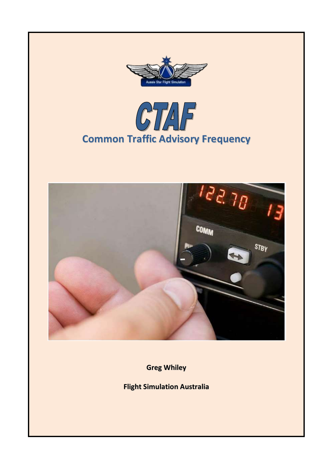

**Greg Whiley**

**Flight Simulation Australia**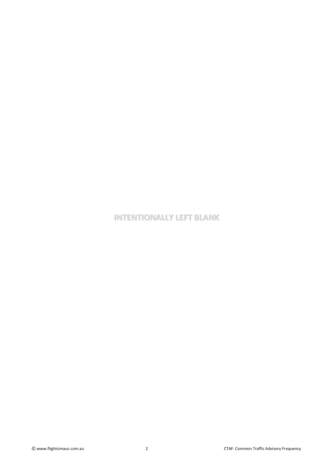## **INTENTIONALLY LEFT BLANK**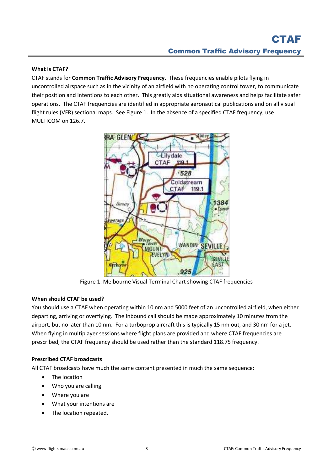## **What is CTAF?**

CTAF stands for **Common Traffic Advisory Frequency**. These frequencies enable pilots flying in uncontrolled airspace such as in the vicinity of an airfield with no operating control tower, to communicate their position and intentions to each other. This greatly aids situational awareness and helps facilitate safer operations. The CTAF frequencies are identified in appropriate aeronautical publications and on all visual flight rules (VFR) sectional maps. See Figure 1. In the absence of a specified CTAF frequency, use MULTICOM on 126.7.



Figure 1: Melbourne Visual Terminal Chart showing CTAF frequencies

## **When should CTAF be used?**

You should use a CTAF when operating within 10 nm and 5000 feet of an uncontrolled airfield, when either departing, arriving or overflying. The inbound call should be made approximately 10 minutes from the airport, but no later than 10 nm. For a turboprop aircraft this is typically 15 nm out, and 30 nm for a jet. When flying in multiplayer sessions where flight plans are provided and where CTAF frequencies are prescribed, the CTAF frequency should be used rather than the standard 118.75 frequency.

## **Prescribed CTAF broadcasts**

All CTAF broadcasts have much the same content presented in much the same sequence:

- The location
- Who you are calling
- Where you are
- What your intentions are
- The location repeated.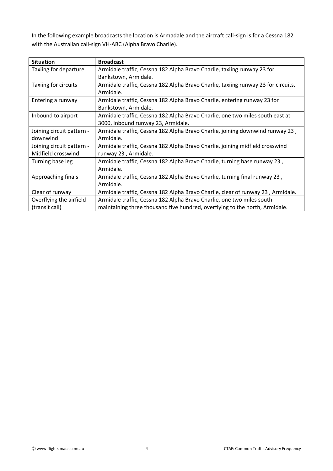In the following example broadcasts the location is Armadale and the aircraft call-sign is for a Cessna 182 with the Australian call-sign VH-ABC (Alpha Bravo Charlie).

| <b>Situation</b>             | <b>Broadcast</b>                                                                  |
|------------------------------|-----------------------------------------------------------------------------------|
| <b>Taxiing for departure</b> | Armidale traffic, Cessna 182 Alpha Bravo Charlie, taxiing runway 23 for           |
|                              | Bankstown, Armidale.                                                              |
| Taxiing for circuits         | Armidale traffic, Cessna 182 Alpha Bravo Charlie, taxiing runway 23 for circuits, |
|                              | Armidale.                                                                         |
| Entering a runway            | Armidale traffic, Cessna 182 Alpha Bravo Charlie, entering runway 23 for          |
|                              | Bankstown, Armidale.                                                              |
| Inbound to airport           | Armidale traffic, Cessna 182 Alpha Bravo Charlie, one two miles south east at     |
|                              | 3000, inbound runway 23, Armidale.                                                |
| Joining circuit pattern -    | Armidale traffic, Cessna 182 Alpha Bravo Charlie, joining downwind runway 23,     |
| downwind                     | Armidale.                                                                         |
| Joining circuit pattern -    | Armidale traffic, Cessna 182 Alpha Bravo Charlie, joining midfield crosswind      |
| Midfield crosswind           | runway 23, Armidale.                                                              |
| Turning base leg             | Armidale traffic, Cessna 182 Alpha Bravo Charlie, turning base runway 23,         |
|                              | Armidale.                                                                         |
| Approaching finals           | Armidale traffic, Cessna 182 Alpha Bravo Charlie, turning final runway 23,        |
|                              | Armidale.                                                                         |
| Clear of runway              | Armidale traffic, Cessna 182 Alpha Bravo Charlie, clear of runway 23, Armidale.   |
| Overflying the airfield      | Armidale traffic, Cessna 182 Alpha Bravo Charlie, one two miles south             |
| (transit call)               | maintaining three thousand five hundred, overflying to the north, Armidale.       |